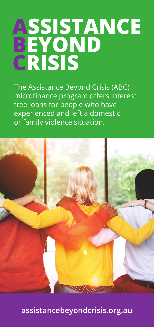# **ASSISTANCE BEYOND CRISIS**

The Assistance Beyond Crisis (ABC) microfinance program offers interest free loans for people who have experienced and left a domestic or family violence situation.



**assistancebeyondcrisis.org.au**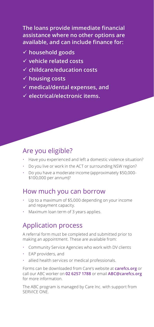**The loans provide immediate financial assistance where no other options are available, and can include finance for:**

- ü **household goods**
- ü **vehicle related costs**
- ü **childcare/education costs**
- ü **housing costs**
- ü **medical/dental expenses, and**
- ü **electrical/electronic items.**

### Are you eligible?

- Have you experienced and left a domestic violence situation?
- Do you live or work in the ACT or surrounding NSW region?
- Do you have a moderate income (approximately \$50,000- \$100,000 per annum)?

#### How much you can borrow

- Up to a maximum of \$5,000 depending on your income and repayment capacity.
- Maximum loan term of 3 years applies.

## Application process

A referral form must be completed and submitted prior to making an appointment. These are available from:

- Community Service Agencies who work with DV clients
- EAP providers, and
- allied health services or medical professionals.

Forms can be downloaded from Care's website at **carefcs.org** or call our ABC worker on **02 6257 1788** or email **ABC@carefcs.org**  for more information.

The ABC program is managed by Care Inc. with support from SERVICE ONE.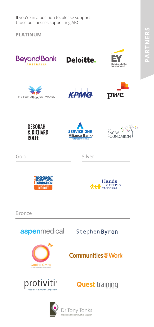PARTNERS **PARTNERS**

If you're in a position to, please support those businesses supporting ABC.

**PLATINUM**